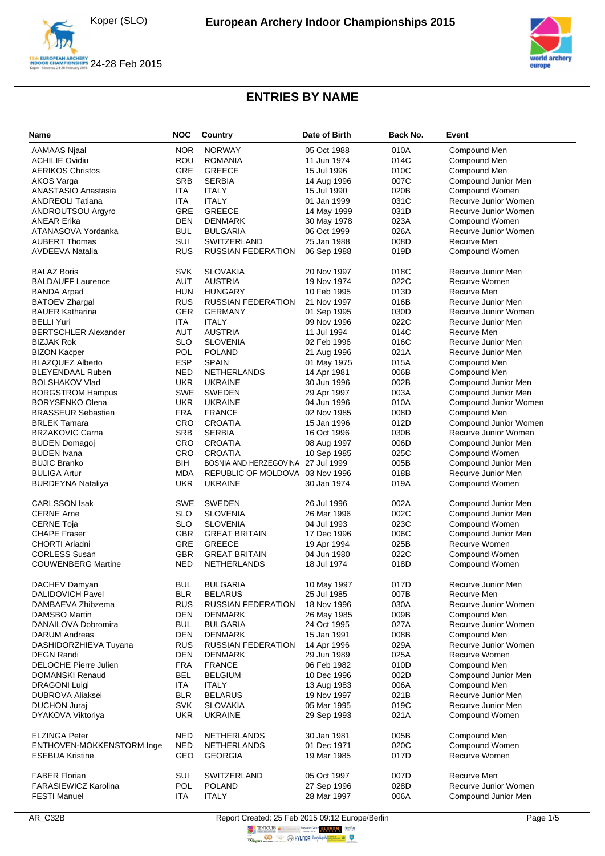





| <b>Name</b>                 | <b>NOC</b> | Country                            | Date of Birth | Back No. | Event                 |
|-----------------------------|------------|------------------------------------|---------------|----------|-----------------------|
| <b>AAMAAS Njaal</b>         | <b>NOR</b> | <b>NORWAY</b>                      | 05 Oct 1988   | 010A     | Compound Men          |
| <b>ACHILIE Ovidiu</b>       | ROU        | <b>ROMANIA</b>                     | 11 Jun 1974   | 014C     | Compound Men          |
| <b>AERIKOS Christos</b>     | <b>GRE</b> | <b>GREECE</b>                      | 15 Jul 1996   | 010C     | Compound Men          |
| AKOS Varga                  | <b>SRB</b> | <b>SERBIA</b>                      | 14 Aug 1996   | 007C     | Compound Junior Men   |
| <b>ANASTASIO Anastasia</b>  | <b>ITA</b> | <b>ITALY</b>                       | 15 Jul 1990   | 020B     | Compound Women        |
| <b>ANDREOLI Tatiana</b>     | ITA        | <b>ITALY</b>                       | 01 Jan 1999   | 031C     | Recurve Junior Women  |
|                             | GRE        | <b>GREECE</b>                      |               | 031D     | Recurve Junior Women  |
| ANDROUTSOU Argyro           |            |                                    | 14 May 1999   |          |                       |
| <b>ANEAR Erika</b>          | <b>DEN</b> | <b>DENMARK</b>                     | 30 May 1978   | 023A     | Compound Women        |
| ATANASOVA Yordanka          | <b>BUL</b> | <b>BULGARIA</b>                    | 06 Oct 1999   | 026A     | Recurve Junior Women  |
| <b>AUBERT Thomas</b>        | SUI        | SWITZERLAND                        | 25 Jan 1988   | 008D     | Recurve Men           |
| <b>AVDEEVA Natalia</b>      | <b>RUS</b> | <b>RUSSIAN FEDERATION</b>          | 06 Sep 1988   | 019D     | Compound Women        |
| <b>BALAZ Boris</b>          | <b>SVK</b> | <b>SLOVAKIA</b>                    | 20 Nov 1997   | 018C     | Recurve Junior Men    |
| <b>BALDAUFF Laurence</b>    | AUT        | <b>AUSTRIA</b>                     | 19 Nov 1974   | 022C     | Recurve Women         |
| <b>BANDA Arpad</b>          | <b>HUN</b> | <b>HUNGARY</b>                     | 10 Feb 1995   | 013D     | Recurve Men           |
| <b>BATOEV Zhargal</b>       | <b>RUS</b> | <b>RUSSIAN FEDERATION</b>          | 21 Nov 1997   | 016B     | Recurve Junior Men    |
| <b>BAUER Katharina</b>      | <b>GER</b> | <b>GERMANY</b>                     | 01 Sep 1995   | 030D     | Recurve Junior Women  |
| <b>BELLI Yuri</b>           | <b>ITA</b> | <b>ITALY</b>                       | 09 Nov 1996   | 022C     | Recurve Junior Men    |
| <b>BERTSCHLER Alexander</b> | AUT        | <b>AUSTRIA</b>                     | 11 Jul 1994   | 014C     | Recurve Men           |
| <b>BIZJAK Rok</b>           | <b>SLO</b> | <b>SLOVENIA</b>                    | 02 Feb 1996   | 016C     | Recurve Junior Men    |
| <b>BIZON Kacper</b>         | <b>POL</b> | <b>POLAND</b>                      | 21 Aug 1996   | 021A     | Recurve Junior Men    |
| <b>BLAZQUEZ Alberto</b>     | <b>ESP</b> | <b>SPAIN</b>                       | 01 May 1975   | 015A     | Compound Men          |
| BLEYENDAAL Ruben            | <b>NED</b> | <b>NETHERLANDS</b>                 |               | 006B     |                       |
|                             |            | <b>UKRAINE</b>                     | 14 Apr 1981   |          | Compound Men          |
| <b>BOLSHAKOV Vlad</b>       | <b>UKR</b> |                                    | 30 Jun 1996   | 002B     | Compound Junior Men   |
| <b>BORGSTROM Hampus</b>     | SWE        | <b>SWEDEN</b>                      | 29 Apr 1997   | 003A     | Compound Junior Men   |
| <b>BORYSENKO Olena</b>      | <b>UKR</b> | <b>UKRAINE</b>                     | 04 Jun 1996   | 010A     | Compound Junior Women |
| <b>BRASSEUR Sebastien</b>   | <b>FRA</b> | <b>FRANCE</b>                      | 02 Nov 1985   | 008D     | Compound Men          |
| <b>BRLEK Tamara</b>         | CRO        | <b>CROATIA</b>                     | 15 Jan 1996   | 012D     | Compound Junior Women |
| <b>BRZAKOVIC Carna</b>      | <b>SRB</b> | <b>SERBIA</b>                      | 16 Oct 1996   | 030B     | Recurve Junior Women  |
| <b>BUDEN Domagoj</b>        | CRO        | <b>CROATIA</b>                     | 08 Aug 1997   | 006D     | Compound Junior Men   |
| <b>BUDEN</b> Ivana          | CRO        | <b>CROATIA</b>                     | 10 Sep 1985   | 025C     | Compound Women        |
| <b>BUJIC Branko</b>         | BIH        | BOSNIA AND HERZEGOVINA 27 Jul 1999 |               | 005B     | Compound Junior Men   |
| <b>BULIGA Artur</b>         | <b>MDA</b> | REPUBLIC OF MOLDOVA 03 Nov 1996    |               | 018B     | Recurve Junior Men    |
| <b>BURDEYNA Nataliya</b>    | <b>UKR</b> | <b>UKRAINE</b>                     | 30 Jan 1974   | 019A     | Compound Women        |
| <b>CARLSSON Isak</b>        | <b>SWE</b> | SWEDEN                             | 26 Jul 1996   | 002A     | Compound Junior Men   |
| <b>CERNE Arne</b>           | <b>SLO</b> | <b>SLOVENIA</b>                    | 26 Mar 1996   | 002C     | Compound Junior Men   |
| <b>CERNE Toja</b>           | <b>SLO</b> | <b>SLOVENIA</b>                    | 04 Jul 1993   | 023C     | Compound Women        |
| <b>CHAPE Fraser</b>         | <b>GBR</b> | <b>GREAT BRITAIN</b>               | 17 Dec 1996   | 006C     | Compound Junior Men   |
| CHORTI Ariadni              | GRE        | <b>GREECE</b>                      | 19 Apr 1994   | 025B     | Recurve Women         |
| <b>CORLESS Susan</b>        | <b>GBR</b> | <b>GREAT BRITAIN</b>               | 04 Jun 1980   | 022C     | Compound Women        |
| <b>COUWENBERG Martine</b>   | NED        | <b>NETHERLANDS</b>                 | 18 Jul 1974   | 018D     | Compound Women        |
| DACHEV Damyan               | <b>BUL</b> | <b>BULGARIA</b>                    | 10 May 1997   | 017D     | Recurve Junior Men    |
| DALIDOVICH Pavel            | <b>BLR</b> | <b>BELARUS</b>                     | 25 Jul 1985   | 007B     | Recurve Men           |
| DAMBAEVA Zhibzema           | RUS        | RUSSIAN FEDERATION                 | 18 Nov 1996   | 030A     | Recurve Junior Women  |
| DAMSBO Martin               | <b>DEN</b> | <b>DENMARK</b>                     | 26 May 1985   | 009B     | Compound Men          |
| DANAILOVA Dobromira         | <b>BUL</b> | <b>BULGARIA</b>                    | 24 Oct 1995   | 027A     | Recurve Junior Women  |
| <b>DARUM Andreas</b>        | <b>DEN</b> | <b>DENMARK</b>                     | 15 Jan 1991   | 008B     | Compound Men          |
| DASHIDORZHIEVA Tuyana       | <b>RUS</b> | <b>RUSSIAN FEDERATION</b>          |               | 029A     | Recurve Junior Women  |
|                             |            |                                    | 14 Apr 1996   |          |                       |
| <b>DEGN Randi</b>           | <b>DEN</b> | <b>DENMARK</b>                     | 29 Jun 1989   | 025A     | Recurve Women         |
| DELOCHE Pierre Julien       | <b>FRA</b> | <b>FRANCE</b>                      | 06 Feb 1982   | 010D     | Compound Men          |
| <b>DOMANSKI Renaud</b>      | <b>BEL</b> | <b>BELGIUM</b>                     | 10 Dec 1996   | 002D     | Compound Junior Men   |
| <b>DRAGONI Luigi</b>        | <b>ITA</b> | <b>ITALY</b>                       | 13 Aug 1983   | 006A     | Compound Men          |
| <b>DUBROVA Aliaksei</b>     | <b>BLR</b> | <b>BELARUS</b>                     | 19 Nov 1997   | 021B     | Recurve Junior Men    |
| <b>DUCHON Juraj</b>         | <b>SVK</b> | <b>SLOVAKIA</b>                    | 05 Mar 1995   | 019C     | Recurve Junior Men    |
| DYAKOVA Viktoriya           | <b>UKR</b> | <b>UKRAINE</b>                     | 29 Sep 1993   | 021A     | Compound Women        |
| <b>ELZINGA Peter</b>        | <b>NED</b> | NETHERLANDS                        | 30 Jan 1981   | 005B     | Compound Men          |
| ENTHOVEN-MOKKENSTORM Inge   | <b>NED</b> | NETHERLANDS                        | 01 Dec 1971   | 020C     | Compound Women        |
| <b>ESEBUA Kristine</b>      | GEO        | <b>GEORGIA</b>                     | 19 Mar 1985   | 017D     | Recurve Women         |
| <b>FABER Florian</b>        | SUI        | SWITZERLAND                        | 05 Oct 1997   | 007D     | Recurve Men           |
| <b>FARASIEWICZ Karolina</b> | POL        | <b>POLAND</b>                      | 27 Sep 1996   | 028D     | Recurve Junior Women  |
| <b>FESTI Manuel</b>         | <b>ITA</b> | <b>ITALY</b>                       | 28 Mar 1997   | 006A     | Compound Junior Men   |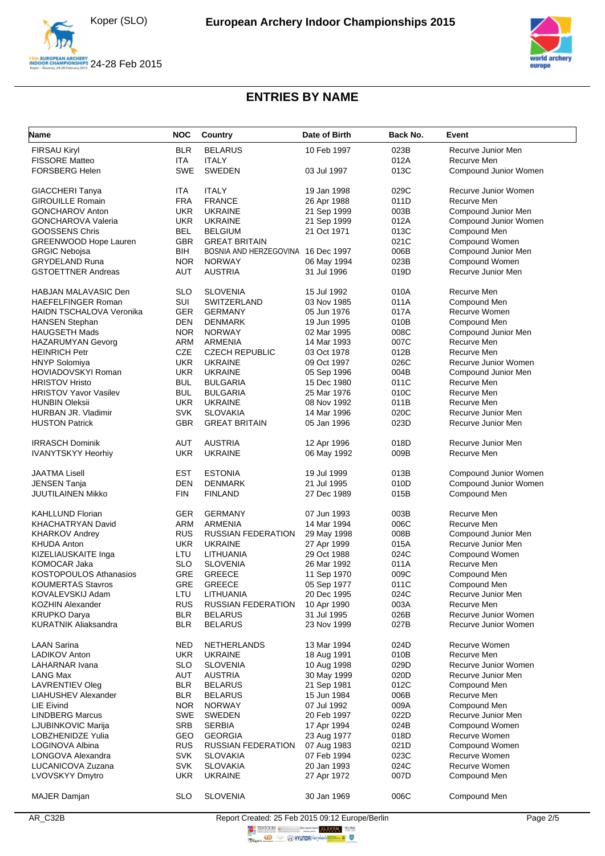





| <b>Name</b>                   | <b>NOC</b> | Country                   | Date of Birth              | Back No. | Event                              |
|-------------------------------|------------|---------------------------|----------------------------|----------|------------------------------------|
| <b>FIRSAU Kiryl</b>           | <b>BLR</b> | <b>BELARUS</b>            | 10 Feb 1997                | 023B     | Recurve Junior Men                 |
| <b>FISSORE Matteo</b>         | <b>ITA</b> | <b>ITALY</b>              |                            | 012A     | Recurve Men                        |
| <b>FORSBERG Helen</b>         | <b>SWE</b> | <b>SWEDEN</b>             | 03 Jul 1997                | 013C     | Compound Junior Women              |
| GIACCHERI Tanya               | <b>ITA</b> | <b>ITALY</b>              | 19 Jan 1998                | 029C     | Recurve Junior Women               |
| <b>GIROUILLE Romain</b>       | <b>FRA</b> | <b>FRANCE</b>             | 26 Apr 1988                | 011D     | Recurve Men                        |
| <b>GONCHAROV Anton</b>        | <b>UKR</b> | <b>UKRAINE</b>            | 21 Sep 1999                | 003B     | Compound Junior Men                |
| <b>GONCHAROVA Valeria</b>     | <b>UKR</b> | <b>UKRAINE</b>            | 21 Sep 1999                | 012A     | Compound Junior Women              |
| <b>GOOSSENS Chris</b>         | <b>BEL</b> | <b>BELGIUM</b>            | 21 Oct 1971                | 013C     | Compound Men                       |
| <b>GREENWOOD Hope Lauren</b>  | <b>GBR</b> | <b>GREAT BRITAIN</b>      |                            | 021C     | Compound Women                     |
| <b>GRGIC Nebojsa</b>          | <b>BIH</b> | BOSNIA AND HERZEGOVINA    | 16 Dec 1997                | 006B     | Compound Junior Men                |
| <b>GRYDELAND Runa</b>         | <b>NOR</b> | <b>NORWAY</b>             | 06 May 1994                | 023B     | Compound Women                     |
| <b>GSTOETTNER Andreas</b>     | AUT        | <b>AUSTRIA</b>            | 31 Jul 1996                | 019D     | Recurve Junior Men                 |
| HABJAN MALAVASIC Den          | <b>SLO</b> | <b>SLOVENIA</b>           | 15 Jul 1992                | 010A     | Recurve Men                        |
| <b>HAEFELFINGER Roman</b>     | SUI        | SWITZERLAND               | 03 Nov 1985                | 011A     | Compound Men                       |
| HAIDN TSCHALOVA Veronika      | <b>GER</b> | <b>GERMANY</b>            | 05 Jun 1976                | 017A     | Recurve Women                      |
| <b>HANSEN Stephan</b>         | <b>DEN</b> | <b>DENMARK</b>            | 19 Jun 1995                | 010B     | Compound Men                       |
| <b>HAUGSETH Mads</b>          | <b>NOR</b> | <b>NORWAY</b>             | 02 Mar 1995                | 008C     | Compound Junior Men                |
| <b>HAZARUMYAN Gevorg</b>      | <b>ARM</b> | <b>ARMENIA</b>            | 14 Mar 1993                | 007C     | Recurve Men                        |
| <b>HEINRICH Petr</b>          | CZE        | <b>CZECH REPUBLIC</b>     | 03 Oct 1978                | 012B     | Recurve Men                        |
| <b>HNYP Solomiya</b>          | <b>UKR</b> | <b>UKRAINE</b>            | 09 Oct 1997                | 026C     | Recurve Junior Women               |
| <b>HOVIADOVSKYI Roman</b>     | <b>UKR</b> | <b>UKRAINE</b>            |                            | 004B     | Compound Junior Men                |
|                               | <b>BUL</b> |                           | 05 Sep 1996<br>15 Dec 1980 |          | Recurve Men                        |
| <b>HRISTOV Hristo</b>         | <b>BUL</b> | <b>BULGARIA</b>           |                            | 011C     |                                    |
| <b>HRISTOV Yavor Vasilev</b>  | <b>UKR</b> | <b>BULGARIA</b>           | 25 Mar 1976                | 010C     | Recurve Men<br>Recurve Men         |
| <b>HUNBIN Oleksii</b>         |            | <b>UKRAINE</b>            | 08 Nov 1992<br>14 Mar 1996 | 011B     | Recurve Junior Men                 |
| HURBAN JR. Vladimir           | <b>SVK</b> | <b>SLOVAKIA</b>           |                            | 020C     |                                    |
| <b>HUSTON Patrick</b>         | <b>GBR</b> | <b>GREAT BRITAIN</b>      | 05 Jan 1996                | 023D     | Recurve Junior Men                 |
| IRRASCH Dominik               | AUT        | <b>AUSTRIA</b>            | 12 Apr 1996                | 018D     | Recurve Junior Men                 |
| <b>IVANYTSKYY Heorhiy</b>     | <b>UKR</b> | <b>UKRAINE</b>            | 06 May 1992                | 009B     | Recurve Men                        |
| JAATMA Lisell                 | <b>EST</b> | <b>ESTONIA</b>            | 19 Jul 1999                | 013B     | Compound Junior Women              |
| <b>JENSEN Tanja</b>           | <b>DEN</b> | <b>DENMARK</b>            | 21 Jul 1995                | 010D     | Compound Junior Women              |
| JUUTILAINEN Mikko             | <b>FIN</b> | <b>FINLAND</b>            | 27 Dec 1989                | 015B     | Compound Men                       |
| <b>KAHLLUND Florian</b>       | <b>GER</b> | <b>GERMANY</b>            | 07 Jun 1993                | 003B     | Recurve Men                        |
| KHACHATRYAN David             | ARM        | <b>ARMENIA</b>            | 14 Mar 1994                | 006C     | Recurve Men                        |
| <b>KHARKOV Andrey</b>         | <b>RUS</b> | RUSSIAN FEDERATION        | 29 May 1998                | 008B     | Compound Junior Men                |
| <b>KHUDA Anton</b>            | <b>UKR</b> | <b>UKRAINE</b>            | 27 Apr 1999                | 015A     | Recurve Junior Men                 |
| KIZELIAUSKAITE Inga           | LTU        | LITHUANIA                 | 29 Oct 1988                | 024C     | Compound Women                     |
| KOMOCAR Jaka                  | <b>SLO</b> | <b>SLOVENIA</b>           | 26 Mar 1992                | 011A     | Recurve Men                        |
| <b>KOSTOPOULOS Athanasios</b> | GRE        | <b>GREECE</b>             | 11 Sep 1970                | 009C     | Compound Men                       |
| KOUMERTAS Stavros             | GRE        | <b>GREECE</b>             |                            | 011C     |                                    |
| KOVALEVSKIJ Adam              | LTU        | LITHUANIA                 | 05 Sep 1977<br>20 Dec 1995 | 024C     | Compound Men<br>Recurve Junior Men |
| <b>KOZHIN Alexander</b>       | <b>RUS</b> | <b>RUSSIAN FEDERATION</b> | 10 Apr 1990                | 003A     | Recurve Men                        |
| <b>KRUPKO Darya</b>           | <b>BLR</b> | <b>BELARUS</b>            | 31 Jul 1995                | 026B     | Recurve Junior Women               |
| <b>KURATNIK Aliaksandra</b>   | <b>BLR</b> | <b>BELARUS</b>            | 23 Nov 1999                | 027B     | Recurve Junior Women               |
|                               |            |                           |                            |          |                                    |
| <b>LAAN Sarina</b>            | <b>NED</b> | NETHERLANDS               | 13 Mar 1994                | 024D     | Recurve Women                      |
| LADIKOV Anton                 | <b>UKR</b> | <b>UKRAINE</b>            | 18 Aug 1991                | 010B     | Recurve Men                        |
| LAHARNAR Ivana                | <b>SLO</b> | <b>SLOVENIA</b>           | 10 Aug 1998                | 029D     | Recurve Junior Women               |
| <b>LANG Max</b>               | AUT        | <b>AUSTRIA</b>            | 30 May 1999                | 020D     | Recurve Junior Men                 |
| <b>LAVRENTIEV Oleg</b>        | <b>BLR</b> | <b>BELARUS</b>            | 21 Sep 1981                | 012C     | Compound Men                       |
| LIAHUSHEV Alexander           | <b>BLR</b> | <b>BELARUS</b>            | 15 Jun 1984                | 006B     | Recurve Men                        |
| LIE Eivind                    | <b>NOR</b> | <b>NORWAY</b>             | 07 Jul 1992                | 009A     | Compound Men                       |
| <b>LINDBERG Marcus</b>        | <b>SWE</b> | <b>SWEDEN</b>             | 20 Feb 1997                | 022D     | Recurve Junior Men                 |
| LJUBINKOVIC Marija            | <b>SRB</b> | <b>SERBIA</b>             | 17 Apr 1994                | 024B     | Compound Women                     |
| LOBZHENIDZE Yulia             | <b>GEO</b> | <b>GEORGIA</b>            | 23 Aug 1977                | 018D     | Recurve Women                      |
| LOGINOVA Albina               | <b>RUS</b> | <b>RUSSIAN FEDERATION</b> | 07 Aug 1983                | 021D     | Compound Women                     |
| LONGOVA Alexandra             | <b>SVK</b> | <b>SLOVAKIA</b>           | 07 Feb 1994                | 023C     | Recurve Women                      |
| LUCANICOVA Zuzana             | <b>SVK</b> | <b>SLOVAKIA</b>           | 20 Jan 1993                | 024C     | Recurve Women                      |
| LVOVSKYY Dmytro               | <b>UKR</b> | <b>UKRAINE</b>            | 27 Apr 1972                | 007D     | Compound Men                       |
| <b>MAJER Damjan</b>           | <b>SLO</b> | <b>SLOVENIA</b>           | 30 Jan 1969                | 006C     | Compound Men                       |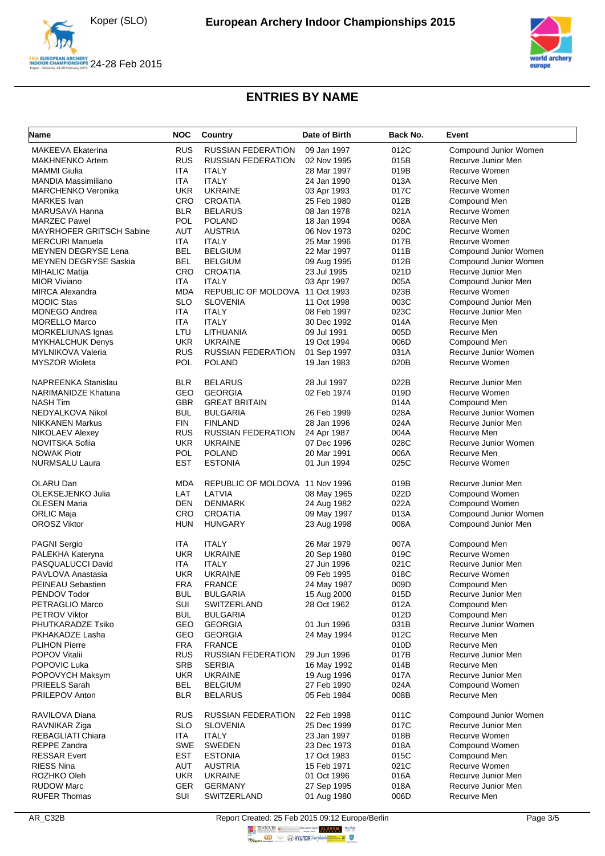





| Name                            | <b>NOC</b>               | <b>Country</b>                  | Date of Birth              | Back No. | Event                 |
|---------------------------------|--------------------------|---------------------------------|----------------------------|----------|-----------------------|
| MAKEEVA Ekaterina               | <b>RUS</b>               | <b>RUSSIAN FEDERATION</b>       | 09 Jan 1997                | 012C     | Compound Junior Women |
| <b>MAKHNENKO Artem</b>          | <b>RUS</b>               | <b>RUSSIAN FEDERATION</b>       | 02 Nov 1995                | 015B     | Recurve Junior Men    |
| <b>MAMMI</b> Giulia             | ITA                      | <b>ITALY</b>                    | 28 Mar 1997                | 019B     | Recurve Women         |
| MANDIA Massimiliano             | <b>ITA</b>               | <b>ITALY</b>                    | 24 Jan 1990                | 013A     | Recurve Men           |
| <b>MARCHENKO Veronika</b>       | <b>UKR</b>               | <b>UKRAINE</b>                  | 03 Apr 1993                | 017C     | Recurve Women         |
| <b>MARKES</b> Ivan              | CRO                      | <b>CROATIA</b>                  | 25 Feb 1980                | 012B     | Compound Men          |
| MARUSAVA Hanna                  | <b>BLR</b>               | <b>BELARUS</b>                  | 08 Jan 1978                | 021A     | Recurve Women         |
| <b>MARZEC Pawel</b>             | POL                      | <b>POLAND</b>                   | 18 Jan 1994                | 008A     | Recurve Men           |
| <b>MAYRHOFER GRITSCH Sabine</b> | <b>AUT</b>               | <b>AUSTRIA</b>                  |                            | 020C     | Recurve Women         |
|                                 |                          |                                 | 06 Nov 1973<br>25 Mar 1996 |          | Recurve Women         |
| <b>MERCURI Manuela</b>          | <b>ITA</b><br><b>BEL</b> | <b>ITALY</b>                    |                            | 017B     |                       |
| <b>MEYNEN DEGRYSE Lena</b>      |                          | <b>BELGIUM</b>                  | 22 Mar 1997                | 011B     | Compound Junior Women |
| <b>MEYNEN DEGRYSE Saskia</b>    | <b>BEL</b>               | <b>BELGIUM</b>                  | 09 Aug 1995                | 012B     | Compound Junior Women |
| <b>MIHALIC Matija</b>           | CRO                      | <b>CROATIA</b>                  | 23 Jul 1995                | 021D     | Recurve Junior Men    |
| <b>MIOR Viviano</b>             | ITA                      | <b>ITALY</b>                    | 03 Apr 1997                | 005A     | Compound Junior Men   |
| <b>MIRCA Alexandra</b>          | <b>MDA</b>               | REPUBLIC OF MOLDOVA 11 Oct 1993 |                            | 023B     | Recurve Women         |
| <b>MODIC Stas</b>               | <b>SLO</b>               | <b>SLOVENIA</b>                 | 11 Oct 1998                | 003C     | Compound Junior Men   |
| <b>MONEGO Andrea</b>            | <b>ITA</b>               | <b>ITALY</b>                    | 08 Feb 1997                | 023C     | Recurve Junior Men    |
| <b>MORELLO Marco</b>            | ITA                      | <b>ITALY</b>                    | 30 Dec 1992                | 014A     | Recurve Men           |
| <b>MORKELIUNAS Ignas</b>        | LTU                      | LITHUANIA                       | 09 Jul 1991                | 005D     | Recurve Men           |
| <b>MYKHALCHUK Denys</b>         | <b>UKR</b>               | <b>UKRAINE</b>                  | 19 Oct 1994                | 006D     | Compound Men          |
| <b>MYLNIKOVA Valeria</b>        | <b>RUS</b>               | <b>RUSSIAN FEDERATION</b>       | 01 Sep 1997                | 031A     | Recurve Junior Women  |
| <b>MYSZOR Wioleta</b>           | <b>POL</b>               | <b>POLAND</b>                   | 19 Jan 1983                | 020B     | Recurve Women         |
| <b>NAPREENKA Stanislau</b>      | <b>BLR</b>               | <b>BELARUS</b>                  | 28 Jul 1997                | 022B     | Recurve Junior Men    |
| <b>NARIMANIDZE Khatuna</b>      | GEO                      | <b>GEORGIA</b>                  | 02 Feb 1974                | 019D     | Recurve Women         |
| <b>NASH Tim</b>                 | <b>GBR</b>               | <b>GREAT BRITAIN</b>            |                            | 014A     | Compound Men          |
| NEDYALKOVA Nikol                | <b>BUL</b>               | <b>BULGARIA</b>                 | 26 Feb 1999                | 028A     | Recurve Junior Women  |
| <b>NIKKANEN Markus</b>          | <b>FIN</b>               | <b>FINLAND</b>                  | 28 Jan 1996                | 024A     | Recurve Junior Men    |
| NIKOLAEV Alexey                 | <b>RUS</b>               | <b>RUSSIAN FEDERATION</b>       | 24 Apr 1987                | 004A     | Recurve Men           |
| NOVITSKA Sofiia                 | <b>UKR</b>               | <b>UKRAINE</b>                  | 07 Dec 1996                | 028C     | Recurve Junior Women  |
| <b>NOWAK Piotr</b>              | <b>POL</b>               | <b>POLAND</b>                   | 20 Mar 1991                | 006A     | Recurve Men           |
| <b>NURMSALU Laura</b>           | <b>EST</b>               | <b>ESTONIA</b>                  | 01 Jun 1994                | 025C     | Recurve Women         |
| OLARU Dan                       | MDA                      | REPUBLIC OF MOLDOVA 11 Nov 1996 |                            | 019B     | Recurve Junior Men    |
| OLEKSEJENKO Julia               | LAT                      | LATVIA                          | 08 May 1965                | 022D     | Compound Women        |
| <b>OLESEN Maria</b>             | <b>DEN</b>               | <b>DENMARK</b>                  | 24 Aug 1982                | 022A     | Compound Women        |
| ORLIC Maja                      | CRO                      | <b>CROATIA</b>                  | 09 May 1997                | 013A     | Compound Junior Women |
| <b>OROSZ Viktor</b>             | HUN                      | <b>HUNGARY</b>                  | 23 Aug 1998                | 008A     | Compound Junior Men   |
| <b>PAGNI Sergio</b>             | ITA.                     | <b>ITALY</b>                    | 26 Mar 1979                | 007A     | Compound Men          |
| PALEKHA Kateryna                | <b>UKR</b>               | <b>UKRAINE</b>                  | 20 Sep 1980                | 019C     | Recurve Women         |
| PASQUALUCCI David               | ITA                      | <b>ITALY</b>                    | 27 Jun 1996                | 021C     | Recurve Junior Men    |
| PAVLOVA Anastasia               | <b>UKR</b>               | <b>UKRAINE</b>                  | 09 Feb 1995                | 018C     | Recurve Women         |
| PEINEAU Sebastien               | <b>FRA</b>               | <b>FRANCE</b>                   | 24 May 1987                | 009D     | Compound Men          |
| PENDOV Todor                    | <b>BUL</b>               | <b>BULGARIA</b>                 | 15 Aug 2000                | 015D     | Recurve Junior Men    |
| PETRAGLIO Marco                 | <b>SUI</b>               | SWITZERLAND                     | 28 Oct 1962                | 012A     | Compound Men          |
| <b>PETROV Viktor</b>            | <b>BUL</b>               | <b>BULGARIA</b>                 |                            | 012D     | Compound Men          |
| PHUTKARADZE Tsiko               | GEO                      | <b>GEORGIA</b>                  | 01 Jun 1996                | 031B     | Recurve Junior Women  |
| PKHAKADZE Lasha                 | GEO                      | <b>GEORGIA</b>                  |                            | 012C     | Recurve Men           |
|                                 |                          |                                 | 24 May 1994                |          |                       |
| <b>PLIHON Pierre</b>            | FRA                      | <b>FRANCE</b>                   | 29 Jun 1996                | 010D     | Recurve Men           |
| <b>POPOV Vitalii</b>            | <b>RUS</b>               | <b>RUSSIAN FEDERATION</b>       |                            | 017B     | Recurve Junior Men    |
| POPOVIC Luka                    | <b>SRB</b>               | <b>SERBIA</b>                   | 16 May 1992                | 014B     | Recurve Men           |
| POPOVYCH Maksym                 | UKR                      | <b>UKRAINE</b>                  | 19 Aug 1996                | 017A     | Recurve Junior Men    |
| PRIEELS Sarah                   | <b>BEL</b>               | <b>BELGIUM</b>                  | 27 Feb 1990                | 024A     | Compound Women        |
| PRILEPOV Anton                  | <b>BLR</b>               | <b>BELARUS</b>                  | 05 Feb 1984                | 008B     | Recurve Men           |
| RAVILOVA Diana                  | <b>RUS</b>               | <b>RUSSIAN FEDERATION</b>       | 22 Feb 1998                | 011C     | Compound Junior Women |
| RAVNIKAR Ziga                   | SLO.                     | <b>SLOVENIA</b>                 | 25 Dec 1999                | 017C     | Recurve Junior Men    |
| REBAGLIATI Chiara               | ITA                      | <b>ITALY</b>                    | 23 Jan 1997                | 018B     | Recurve Women         |
| REPPE Zandra                    | <b>SWE</b>               | <b>SWEDEN</b>                   | 23 Dec 1973                | 018A     | Compound Women        |
| <b>RESSAR Evert</b>             | <b>EST</b>               | <b>ESTONIA</b>                  | 17 Oct 1983                | 015C     | Compound Men          |
| <b>RIESS Nina</b>               | <b>AUT</b>               | <b>AUSTRIA</b>                  | 15 Feb 1971                | 021C     | Recurve Women         |
| ROZHKO Oleh                     | <b>UKR</b>               | <b>UKRAINE</b>                  | 01 Oct 1996                | 016A     | Recurve Junior Men    |
| <b>RUDOW Marc</b>               | GER                      | <b>GERMANY</b>                  | 27 Sep 1995                | 018A     | Recurve Junior Men    |
| <b>RUFER Thomas</b>             | SUI                      | SWITZERLAND                     | 01 Aug 1980                | 006D     | Recurve Men           |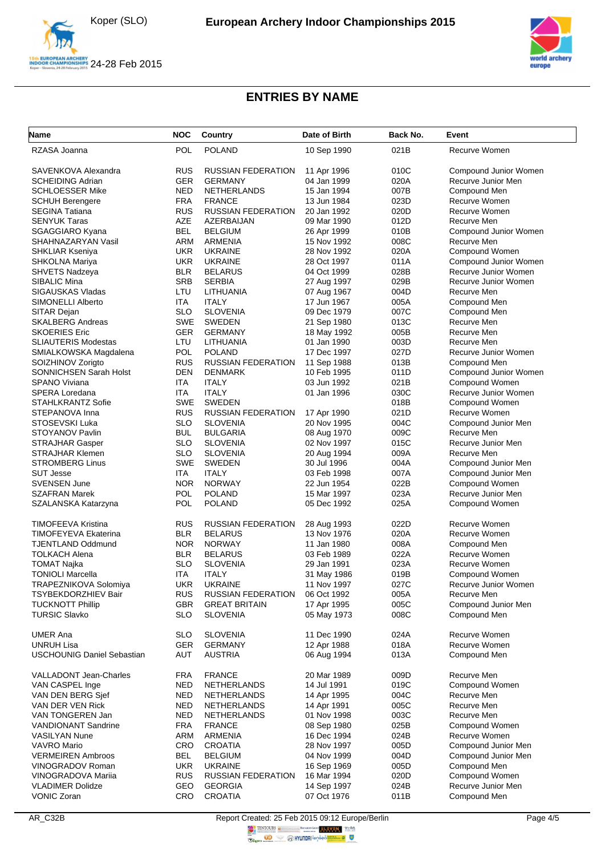



| <b>Name</b>                       | <b>NOC</b> | Country                   | Date of Birth | Back No. | Event                 |
|-----------------------------------|------------|---------------------------|---------------|----------|-----------------------|
| RZASA Joanna                      | <b>POL</b> | <b>POLAND</b>             | 10 Sep 1990   | 021B     | Recurve Women         |
| SAVENKOVA Alexandra               | RUS        | <b>RUSSIAN FEDERATION</b> | 11 Apr 1996   | 010C     | Compound Junior Women |
| <b>SCHEIDING Adrian</b>           | <b>GER</b> | <b>GERMANY</b>            | 04 Jan 1999   | 020A     | Recurve Junior Men    |
| <b>SCHLOESSER Mike</b>            | NED        | <b>NETHERLANDS</b>        | 15 Jan 1994   | 007B     | Compound Men          |
| <b>SCHUH Berengere</b>            | <b>FRA</b> | <b>FRANCE</b>             | 13 Jun 1984   | 023D     | Recurve Women         |
| <b>SEGINA Tatiana</b>             | <b>RUS</b> | <b>RUSSIAN FEDERATION</b> | 20 Jan 1992   | 020D     | Recurve Women         |
| <b>SENYUK Taras</b>               | <b>AZE</b> | AZERBAIJAN                | 09 Mar 1990   | 012D     | Recurve Men           |
| <b>SGAGGIARO Kyana</b>            | <b>BEL</b> | <b>BELGIUM</b>            | 26 Apr 1999   | 010B     | Compound Junior Women |
| SHAHNAZARYAN Vasil                | <b>ARM</b> | <b>ARMENIA</b>            | 15 Nov 1992   | 008C     | Recurve Men           |
| <b>SHKLIAR Kseniya</b>            | <b>UKR</b> | <b>UKRAINE</b>            | 28 Nov 1992   | 020A     | Compound Women        |
| SHKOLNA Mariya                    | <b>UKR</b> | <b>UKRAINE</b>            | 28 Oct 1997   | 011A     | Compound Junior Women |
| SHVETS Nadzeya                    | BLR        | <b>BELARUS</b>            | 04 Oct 1999   | 028B     | Recurve Junior Women  |
| <b>SIBALIC Mina</b>               | <b>SRB</b> | <b>SERBIA</b>             | 27 Aug 1997   | 029B     | Recurve Junior Women  |
| <b>SIGAUSKAS Vladas</b>           | LTU        | LITHUANIA                 | 07 Aug 1967   | 004D     | Recurve Men           |
| <b>SIMONELLI Alberto</b>          | <b>ITA</b> | <b>ITALY</b>              | 17 Jun 1967   | 005A     | Compound Men          |
| SITAR Dejan                       | <b>SLO</b> | <b>SLOVENIA</b>           | 09 Dec 1979   | 007C     | Compound Men          |
| <b>SKALBERG Andreas</b>           | <b>SWE</b> | <b>SWEDEN</b>             | 21 Sep 1980   | 013C     | Recurve Men           |
| <b>SKOERIES Eric</b>              | <b>GER</b> | <b>GERMANY</b>            | 18 May 1992   | 005B     | Recurve Men           |
| <b>SLIAUTERIS Modestas</b>        | LTU        | LITHUANIA                 | 01 Jan 1990   | 003D     | Recurve Men           |
| SMIALKOWSKA Magdalena             | POL        | <b>POLAND</b>             | 17 Dec 1997   | 027D     | Recurve Junior Women  |
| SOIZHINOV Zorigto                 | <b>RUS</b> | <b>RUSSIAN FEDERATION</b> | 11 Sep 1988   | 013B     | Compound Men          |
| <b>SONNICHSEN Sarah Holst</b>     | <b>DEN</b> | <b>DENMARK</b>            | 10 Feb 1995   | 011D     | Compound Junior Women |
| <b>SPANO Viviana</b>              | ITA        | <b>ITALY</b>              | 03 Jun 1992   | 021B     | Compound Women        |
| SPERA Loredana                    | ITA        | <b>ITALY</b>              | 01 Jan 1996   | 030C     | Recurve Junior Women  |
| <b>STAHLKRANTZ Sofie</b>          | <b>SWE</b> | <b>SWEDEN</b>             |               | 018B     | Compound Women        |
| STEPANOVA Inna                    | <b>RUS</b> | <b>RUSSIAN FEDERATION</b> | 17 Apr 1990   | 021D     | Recurve Women         |
| STOSEVSKI Luka                    | <b>SLO</b> | <b>SLOVENIA</b>           | 20 Nov 1995   | 004C     | Compound Junior Men   |
| STOYANOV Pavlin                   | <b>BUL</b> | <b>BULGARIA</b>           | 08 Aug 1970   | 009C     | Recurve Men           |
| <b>STRAJHAR Gasper</b>            | <b>SLO</b> | <b>SLOVENIA</b>           | 02 Nov 1997   | 015C     | Recurve Junior Men    |
| <b>STRAJHAR Klemen</b>            | <b>SLO</b> | <b>SLOVENIA</b>           | 20 Aug 1994   | 009A     | Recurve Men           |
| <b>STROMBERG Linus</b>            | <b>SWE</b> | SWEDEN                    | 30 Jul 1996   | 004A     | Compound Junior Men   |
| <b>SUT Jesse</b>                  | ITA        | <b>ITALY</b>              | 03 Feb 1998   | 007A     | Compound Junior Men   |
| <b>SVENSEN June</b>               | <b>NOR</b> | <b>NORWAY</b>             | 22 Jun 1954   | 022B     | Compound Women        |
| <b>SZAFRAN Marek</b>              | <b>POL</b> | <b>POLAND</b>             | 15 Mar 1997   | 023A     | Recurve Junior Men    |
| SZALANSKA Katarzyna               | POL        | <b>POLAND</b>             | 05 Dec 1992   | 025A     | Compound Women        |
| <b>TIMOFEEVA Kristina</b>         | RUS        | <b>RUSSIAN FEDERATION</b> | 28 Aug 1993   | 022D     | <b>Recurve Women</b>  |
| <b>TIMOFEYEVA Ekaterina</b>       | <b>BLR</b> | <b>BELARUS</b>            | 13 Nov 1976   | 020A     | Recurve Women         |
| <b>TJENTLAND Oddmund</b>          | <b>NOR</b> | <b>NORWAY</b>             | 11 Jan 1980   | 008A     | Compound Men          |
| <b>TOLKACH Alena</b>              | <b>BLR</b> | <b>BELARUS</b>            | 03 Feb 1989   | 022A     | Recurve Women         |
| <b>TOMAT Najka</b>                | <b>SLO</b> | <b>SLOVENIA</b>           | 29 Jan 1991   | 023A     | Recurve Women         |
| <b>TONIOLI Marcella</b>           | <b>ITA</b> | <b>ITALY</b>              | 31 May 1986   | 019B     | Compound Women        |
| TRAPEZNIKOVA Solomiya             | UKR        | <b>UKRAINE</b>            | 11 Nov 1997   | 027C     | Recurve Junior Women  |
| <b>TSYBEKDORZHIEV Bair</b>        | <b>RUS</b> | RUSSIAN FEDERATION        | 06 Oct 1992   | 005A     | Recurve Men           |
| <b>TUCKNOTT Phillip</b>           | <b>GBR</b> | <b>GREAT BRITAIN</b>      | 17 Apr 1995   | 005C     | Compound Junior Men   |
| <b>TURSIC Slavko</b>              | <b>SLO</b> | <b>SLOVENIA</b>           | 05 May 1973   | 008C     | Compound Men          |
| <b>UMER Ana</b>                   | SLO        | <b>SLOVENIA</b>           | 11 Dec 1990   | 024A     | Recurve Women         |
| <b>UNRUH Lisa</b>                 | <b>GER</b> | <b>GERMANY</b>            | 12 Apr 1988   | 018A     | Recurve Women         |
| <b>USCHOUNIG Daniel Sebastian</b> | AUT        | <b>AUSTRIA</b>            | 06 Aug 1994   | 013A     | Compound Men          |
| VALLADONT Jean-Charles            | <b>FRA</b> | <b>FRANCE</b>             | 20 Mar 1989   | 009D     | Recurve Men           |
| VAN CASPEL Inge                   | NED        | NETHERLANDS               | 14 Jul 1991   | 019C     | Compound Women        |
| VAN DEN BERG Sjef                 | NED        | <b>NETHERLANDS</b>        | 14 Apr 1995   | 004C     | Recurve Men           |
| VAN DER VEN Rick                  | NED        | <b>NETHERLANDS</b>        | 14 Apr 1991   | 005C     | Recurve Men           |
| VAN TONGEREN Jan                  | NED        | <b>NETHERLANDS</b>        | 01 Nov 1998   | 003C     | Recurve Men           |
| <b>VANDIONANT Sandrine</b>        | <b>FRA</b> | <b>FRANCE</b>             | 08 Sep 1980   | 025B     | Compound Women        |
| <b>VASILYAN Nune</b>              | <b>ARM</b> | ARMENIA                   | 16 Dec 1994   | 024B     | Recurve Women         |
| VAVRO Mario                       | CRO        | <b>CROATIA</b>            | 28 Nov 1997   | 005D     | Compound Junior Men   |
| <b>VERMEIREN Ambroos</b>          | BEL        | <b>BELGIUM</b>            | 04 Nov 1999   | 004D     | Compound Junior Men   |
| VINOGRADOV Roman                  | <b>UKR</b> | <b>UKRAINE</b>            | 16 Sep 1969   | 005D     | Compound Men          |
| VINOGRADOVA Mariia                | RUS        | <b>RUSSIAN FEDERATION</b> | 16 Mar 1994   | 020D     | Compound Women        |
| <b>VLADIMER Dolidze</b>           | GEO        | <b>GEORGIA</b>            | 14 Sep 1997   | 024B     | Recurve Junior Men    |
| <b>VONIC Zoran</b>                | <b>CRO</b> | CROATIA                   | 07 Oct 1976   | 011B     | Compound Men          |

AR\_C32B Report Created: 25 Feb 2015 09:12 Europe/Berlin Page 4/5<br>  $\frac{1}{2}$  ENTOURS CONSILIATED AND REPORT TO A PARTICIPATED ASSESSMENT CONSIDERED AT THE PAGE 4/5